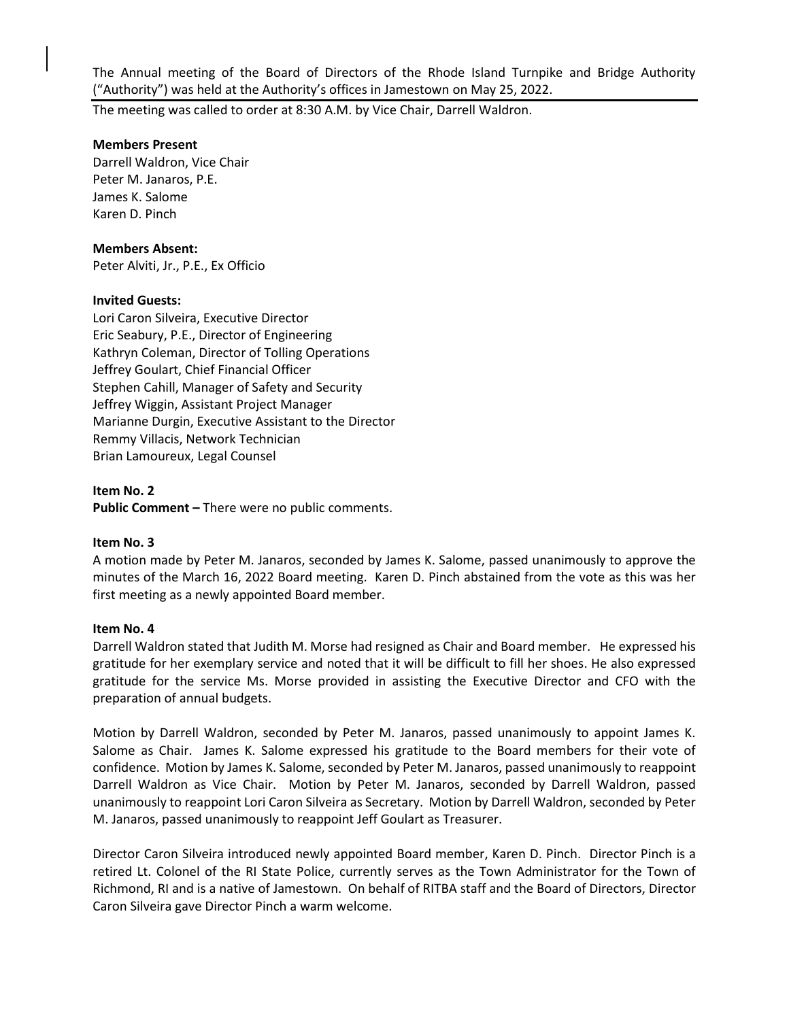The Annual meeting of the Board of Directors of the Rhode Island Turnpike and Bridge Authority ("Authority") was held at the Authority's offices in Jamestown on May 25, 2022.

The meeting was called to order at 8:30 A.M. by Vice Chair, Darrell Waldron.

## **Members Present**

Darrell Waldron, Vice Chair Peter M. Janaros, P.E. James K. Salome Karen D. Pinch

## **Members Absent:**

Peter Alviti, Jr., P.E., Ex Officio

## **Invited Guests:**

Lori Caron Silveira, Executive Director Eric Seabury, P.E., Director of Engineering Kathryn Coleman, Director of Tolling Operations Jeffrey Goulart, Chief Financial Officer Stephen Cahill, Manager of Safety and Security Jeffrey Wiggin, Assistant Project Manager Marianne Durgin, Executive Assistant to the Director Remmy Villacis, Network Technician Brian Lamoureux, Legal Counsel

#### **Item No. 2**

**Public Comment –** There were no public comments.

#### **Item No. 3**

A motion made by Peter M. Janaros, seconded by James K. Salome, passed unanimously to approve the minutes of the March 16, 2022 Board meeting. Karen D. Pinch abstained from the vote as this was her first meeting as a newly appointed Board member.

#### **Item No. 4**

Darrell Waldron stated that Judith M. Morse had resigned as Chair and Board member. He expressed his gratitude for her exemplary service and noted that it will be difficult to fill her shoes. He also expressed gratitude for the service Ms. Morse provided in assisting the Executive Director and CFO with the preparation of annual budgets.

Motion by Darrell Waldron, seconded by Peter M. Janaros, passed unanimously to appoint James K. Salome as Chair. James K. Salome expressed his gratitude to the Board members for their vote of confidence. Motion by James K. Salome, seconded by Peter M. Janaros, passed unanimously to reappoint Darrell Waldron as Vice Chair. Motion by Peter M. Janaros, seconded by Darrell Waldron, passed unanimously to reappoint Lori Caron Silveira as Secretary. Motion by Darrell Waldron, seconded by Peter M. Janaros, passed unanimously to reappoint Jeff Goulart as Treasurer.

Director Caron Silveira introduced newly appointed Board member, Karen D. Pinch. Director Pinch is a retired Lt. Colonel of the RI State Police, currently serves as the Town Administrator for the Town of Richmond, RI and is a native of Jamestown. On behalf of RITBA staff and the Board of Directors, Director Caron Silveira gave Director Pinch a warm welcome.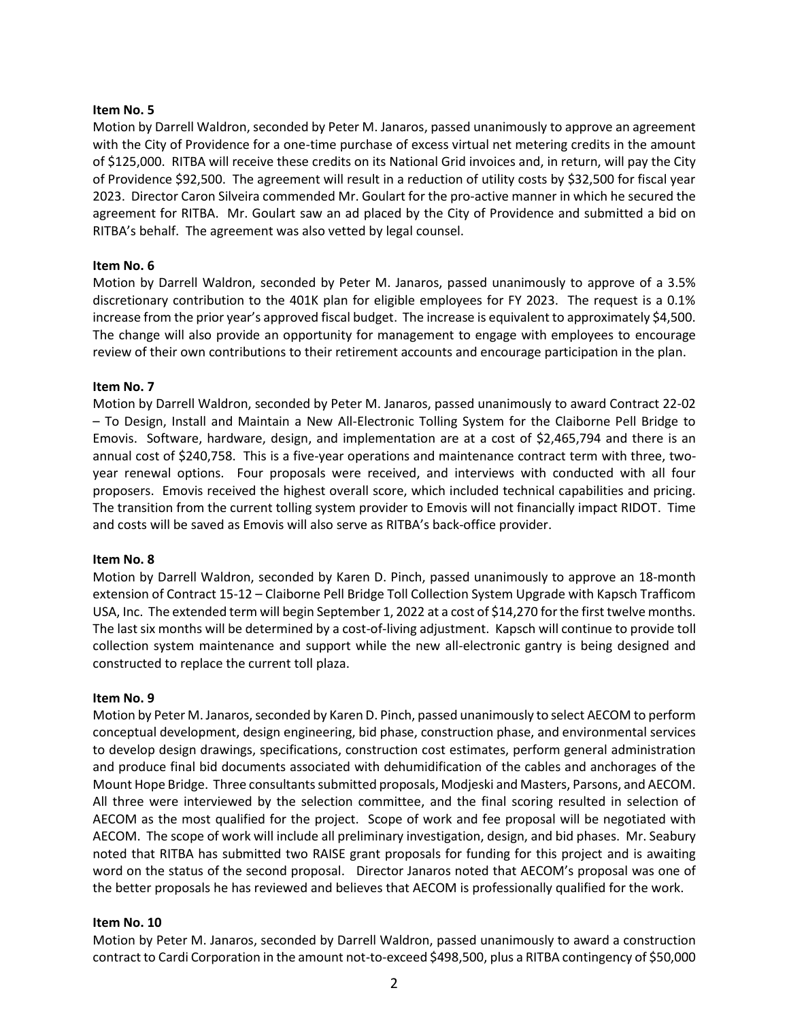### **Item No. 5**

Motion by Darrell Waldron, seconded by Peter M. Janaros, passed unanimously to approve an agreement with the City of Providence for a one-time purchase of excess virtual net metering credits in the amount of \$125,000. RITBA will receive these credits on its National Grid invoices and, in return, will pay the City of Providence \$92,500. The agreement will result in a reduction of utility costs by \$32,500 for fiscal year 2023. Director Caron Silveira commended Mr. Goulart for the pro-active manner in which he secured the agreement for RITBA. Mr. Goulart saw an ad placed by the City of Providence and submitted a bid on RITBA's behalf. The agreement was also vetted by legal counsel.

## **Item No. 6**

Motion by Darrell Waldron, seconded by Peter M. Janaros, passed unanimously to approve of a 3.5% discretionary contribution to the 401K plan for eligible employees for FY 2023. The request is a 0.1% increase from the prior year's approved fiscal budget. The increase is equivalent to approximately \$4,500. The change will also provide an opportunity for management to engage with employees to encourage review of their own contributions to their retirement accounts and encourage participation in the plan.

## **Item No. 7**

Motion by Darrell Waldron, seconded by Peter M. Janaros, passed unanimously to award Contract 22-02 – To Design, Install and Maintain a New All-Electronic Tolling System for the Claiborne Pell Bridge to Emovis. Software, hardware, design, and implementation are at a cost of \$2,465,794 and there is an annual cost of \$240,758. This is a five-year operations and maintenance contract term with three, twoyear renewal options. Four proposals were received, and interviews with conducted with all four proposers. Emovis received the highest overall score, which included technical capabilities and pricing. The transition from the current tolling system provider to Emovis will not financially impact RIDOT. Time and costs will be saved as Emovis will also serve as RITBA's back-office provider.

#### **Item No. 8**

Motion by Darrell Waldron, seconded by Karen D. Pinch, passed unanimously to approve an 18-month extension of Contract 15-12 – Claiborne Pell Bridge Toll Collection System Upgrade with Kapsch Trafficom USA, Inc. The extended term will begin September 1, 2022 at a cost of \$14,270 for the first twelve months. The last six months will be determined by a cost-of-living adjustment. Kapsch will continue to provide toll collection system maintenance and support while the new all-electronic gantry is being designed and constructed to replace the current toll plaza.

#### **Item No. 9**

Motion by Peter M. Janaros, seconded by Karen D. Pinch, passed unanimously to select AECOM to perform conceptual development, design engineering, bid phase, construction phase, and environmental services to develop design drawings, specifications, construction cost estimates, perform general administration and produce final bid documents associated with dehumidification of the cables and anchorages of the Mount Hope Bridge. Three consultants submitted proposals, Modjeski and Masters, Parsons, and AECOM. All three were interviewed by the selection committee, and the final scoring resulted in selection of AECOM as the most qualified for the project. Scope of work and fee proposal will be negotiated with AECOM. The scope of work will include all preliminary investigation, design, and bid phases. Mr. Seabury noted that RITBA has submitted two RAISE grant proposals for funding for this project and is awaiting word on the status of the second proposal. Director Janaros noted that AECOM's proposal was one of the better proposals he has reviewed and believes that AECOM is professionally qualified for the work.

#### **Item No. 10**

Motion by Peter M. Janaros, seconded by Darrell Waldron, passed unanimously to award a construction contract to Cardi Corporation in the amount not-to-exceed \$498,500, plus a RITBA contingency of \$50,000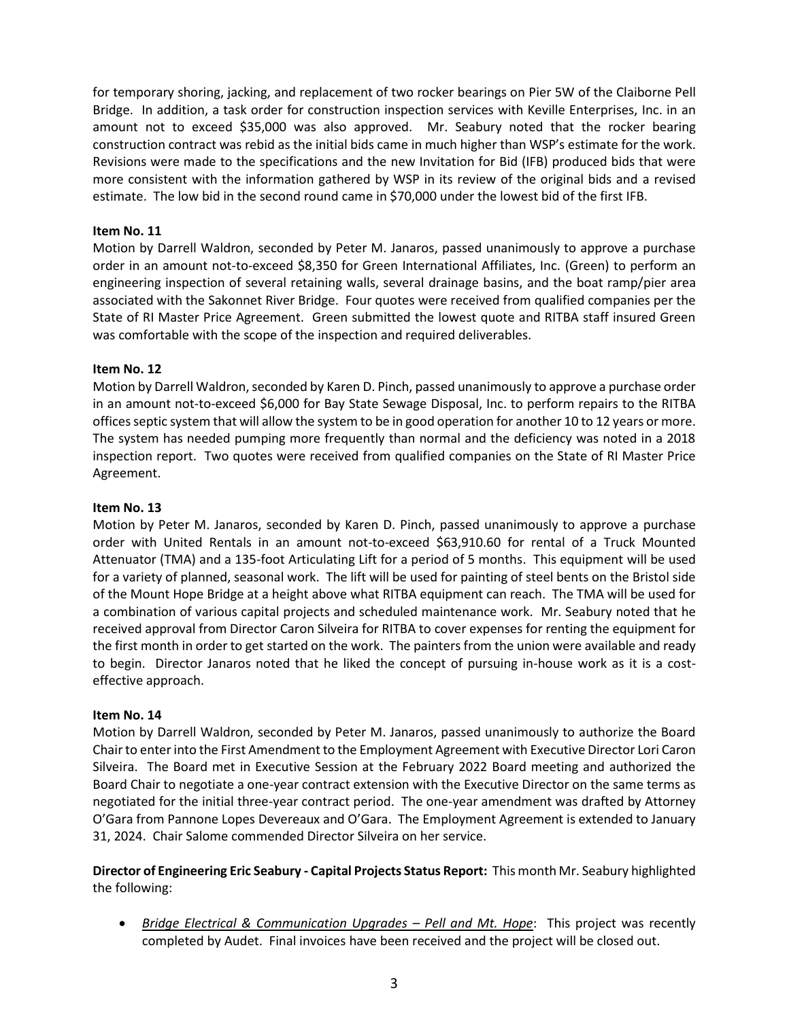for temporary shoring, jacking, and replacement of two rocker bearings on Pier 5W of the Claiborne Pell Bridge. In addition, a task order for construction inspection services with Keville Enterprises, Inc. in an amount not to exceed \$35,000 was also approved. Mr. Seabury noted that the rocker bearing construction contract was rebid as the initial bids came in much higher than WSP's estimate for the work. Revisions were made to the specifications and the new Invitation for Bid (IFB) produced bids that were more consistent with the information gathered by WSP in its review of the original bids and a revised estimate. The low bid in the second round came in \$70,000 under the lowest bid of the first IFB.

## **Item No. 11**

Motion by Darrell Waldron, seconded by Peter M. Janaros, passed unanimously to approve a purchase order in an amount not-to-exceed \$8,350 for Green International Affiliates, Inc. (Green) to perform an engineering inspection of several retaining walls, several drainage basins, and the boat ramp/pier area associated with the Sakonnet River Bridge. Four quotes were received from qualified companies per the State of RI Master Price Agreement. Green submitted the lowest quote and RITBA staff insured Green was comfortable with the scope of the inspection and required deliverables.

# **Item No. 12**

Motion by Darrell Waldron, seconded by Karen D. Pinch, passed unanimously to approve a purchase order in an amount not-to-exceed \$6,000 for Bay State Sewage Disposal, Inc. to perform repairs to the RITBA offices septic system that will allow the system to be in good operation for another 10 to 12 years or more. The system has needed pumping more frequently than normal and the deficiency was noted in a 2018 inspection report. Two quotes were received from qualified companies on the State of RI Master Price Agreement.

## **Item No. 13**

Motion by Peter M. Janaros, seconded by Karen D. Pinch, passed unanimously to approve a purchase order with United Rentals in an amount not-to-exceed \$63,910.60 for rental of a Truck Mounted Attenuator (TMA) and a 135-foot Articulating Lift for a period of 5 months. This equipment will be used for a variety of planned, seasonal work. The lift will be used for painting of steel bents on the Bristol side of the Mount Hope Bridge at a height above what RITBA equipment can reach. The TMA will be used for a combination of various capital projects and scheduled maintenance work. Mr. Seabury noted that he received approval from Director Caron Silveira for RITBA to cover expenses for renting the equipment for the first month in order to get started on the work. The painters from the union were available and ready to begin. Director Janaros noted that he liked the concept of pursuing in-house work as it is a costeffective approach.

## **Item No. 14**

Motion by Darrell Waldron, seconded by Peter M. Janaros, passed unanimously to authorize the Board Chair to enter into the First Amendment to the Employment Agreement with Executive Director Lori Caron Silveira. The Board met in Executive Session at the February 2022 Board meeting and authorized the Board Chair to negotiate a one-year contract extension with the Executive Director on the same terms as negotiated for the initial three-year contract period. The one-year amendment was drafted by Attorney O'Gara from Pannone Lopes Devereaux and O'Gara. The Employment Agreement is extended to January 31, 2024. Chair Salome commended Director Silveira on her service.

# **Director of Engineering Eric Seabury - Capital Projects Status Report:** This month Mr. Seabury highlighted the following:

• *Bridge Electrical & Communication Upgrades – Pell and Mt. Hope:* This project was recently completed by Audet. Final invoices have been received and the project will be closed out.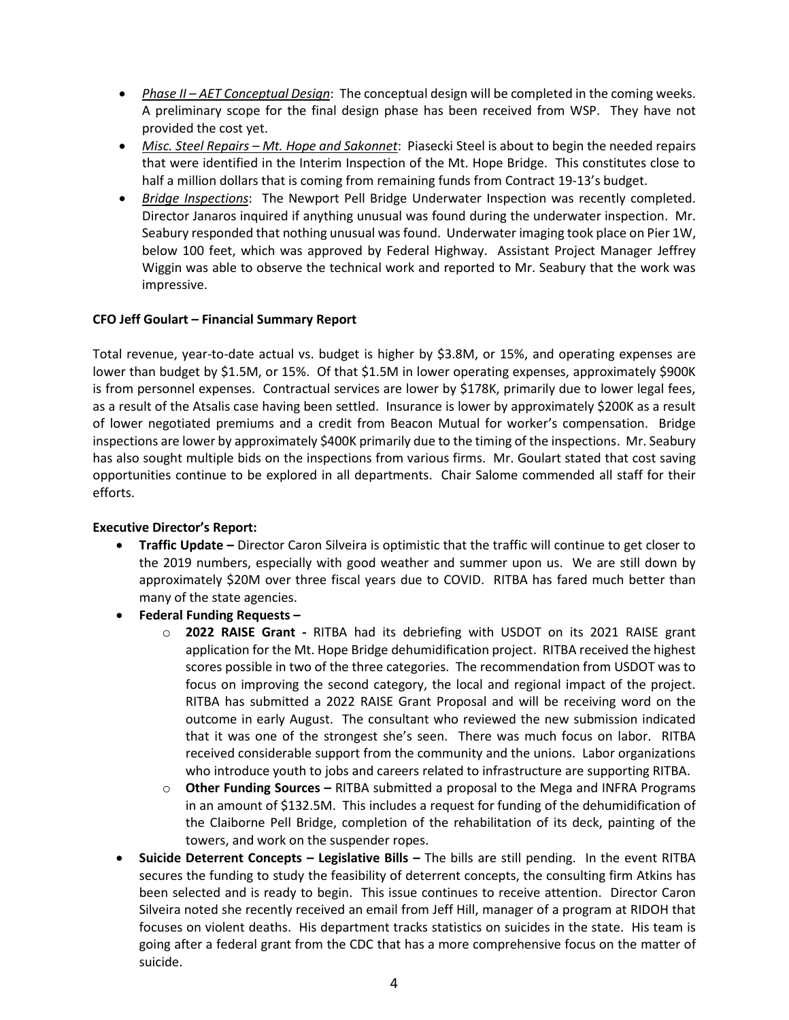- *Phase II – AET Conceptual Design*: The conceptual design will be completed in the coming weeks. A preliminary scope for the final design phase has been received from WSP. They have not provided the cost yet.
- *Misc. Steel Repairs – Mt. Hope and Sakonnet*: Piasecki Steel is about to begin the needed repairs that were identified in the Interim Inspection of the Mt. Hope Bridge. This constitutes close to half a million dollars that is coming from remaining funds from Contract 19-13's budget.
- *Bridge Inspections*: The Newport Pell Bridge Underwater Inspection was recently completed. Director Janaros inquired if anything unusual was found during the underwater inspection. Mr. Seabury responded that nothing unusual was found. Underwater imaging took place on Pier 1W, below 100 feet, which was approved by Federal Highway. Assistant Project Manager Jeffrey Wiggin was able to observe the technical work and reported to Mr. Seabury that the work was impressive.

# **CFO Jeff Goulart – Financial Summary Report**

Total revenue, year-to-date actual vs. budget is higher by \$3.8M, or 15%, and operating expenses are lower than budget by \$1.5M, or 15%. Of that \$1.5M in lower operating expenses, approximately \$900K is from personnel expenses. Contractual services are lower by \$178K, primarily due to lower legal fees, as a result of the Atsalis case having been settled. Insurance is lower by approximately \$200K as a result of lower negotiated premiums and a credit from Beacon Mutual for worker's compensation. Bridge inspections are lower by approximately \$400K primarily due to the timing of the inspections. Mr. Seabury has also sought multiple bids on the inspections from various firms. Mr. Goulart stated that cost saving opportunities continue to be explored in all departments. Chair Salome commended all staff for their efforts.

## **Executive Director's Report:**

- **Traffic Update –** Director Caron Silveira is optimistic that the traffic will continue to get closer to the 2019 numbers, especially with good weather and summer upon us. We are still down by approximately \$20M over three fiscal years due to COVID. RITBA has fared much better than many of the state agencies.
- **Federal Funding Requests –**
	- o **2022 RAISE Grant -** RITBA had its debriefing with USDOT on its 2021 RAISE grant application for the Mt. Hope Bridge dehumidification project. RITBA received the highest scores possible in two of the three categories. The recommendation from USDOT was to focus on improving the second category, the local and regional impact of the project. RITBA has submitted a 2022 RAISE Grant Proposal and will be receiving word on the outcome in early August. The consultant who reviewed the new submission indicated that it was one of the strongest she's seen. There was much focus on labor. RITBA received considerable support from the community and the unions. Labor organizations who introduce youth to jobs and careers related to infrastructure are supporting RITBA.
	- o **Other Funding Sources –** RITBA submitted a proposal to the Mega and INFRA Programs in an amount of \$132.5M. This includes a request for funding of the dehumidification of the Claiborne Pell Bridge, completion of the rehabilitation of its deck, painting of the towers, and work on the suspender ropes.
- **Suicide Deterrent Concepts – Legislative Bills –** The bills are still pending. In the event RITBA secures the funding to study the feasibility of deterrent concepts, the consulting firm Atkins has been selected and is ready to begin. This issue continues to receive attention. Director Caron Silveira noted she recently received an email from Jeff Hill, manager of a program at RIDOH that focuses on violent deaths. His department tracks statistics on suicides in the state. His team is going after a federal grant from the CDC that has a more comprehensive focus on the matter of suicide.